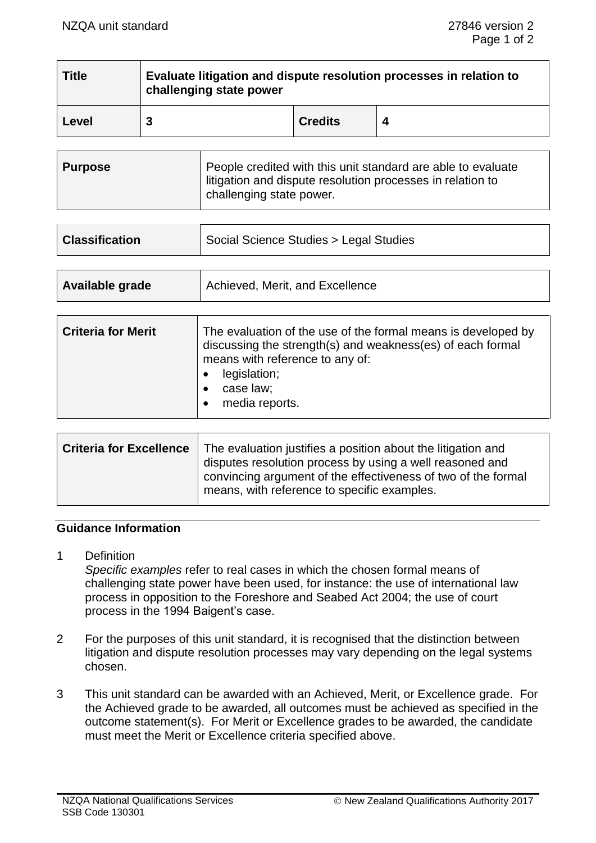| <b>Title</b> | Evaluate litigation and dispute resolution processes in relation to<br>challenging state power |                |  |
|--------------|------------------------------------------------------------------------------------------------|----------------|--|
| Level        |                                                                                                | <b>Credits</b> |  |

| <b>Purpose</b> | People credited with this unit standard are able to evaluate<br>litigation and dispute resolution processes in relation to<br>challenging state power. |
|----------------|--------------------------------------------------------------------------------------------------------------------------------------------------------|
|----------------|--------------------------------------------------------------------------------------------------------------------------------------------------------|

| <b>Classification</b> | Social Science Studies > Legal Studies |
|-----------------------|----------------------------------------|
|                       |                                        |

| Available grade | Achieved, Merit, and Excellence |
|-----------------|---------------------------------|
|                 |                                 |

 $\blacksquare$ 

| <b>Criteria for Merit</b> | The evaluation of the use of the formal means is developed by<br>discussing the strength(s) and weakness(es) of each formal<br>means with reference to any of:<br>legislation;<br>case law;<br>media reports. |
|---------------------------|---------------------------------------------------------------------------------------------------------------------------------------------------------------------------------------------------------------|
|---------------------------|---------------------------------------------------------------------------------------------------------------------------------------------------------------------------------------------------------------|

| <b>Criteria for Excellence</b> | The evaluation justifies a position about the litigation and<br>disputes resolution process by using a well reasoned and |  |
|--------------------------------|--------------------------------------------------------------------------------------------------------------------------|--|
|                                | convincing argument of the effectiveness of two of the formal<br>means, with reference to specific examples.             |  |

## **Guidance Information**

1 Definition

*Specific examples* refer to real cases in which the chosen formal means of challenging state power have been used, for instance: the use of international law process in opposition to the Foreshore and Seabed Act 2004; the use of court process in the 1994 Baigent's case.

- 2 For the purposes of this unit standard, it is recognised that the distinction between litigation and dispute resolution processes may vary depending on the legal systems chosen.
- 3 This unit standard can be awarded with an Achieved, Merit, or Excellence grade. For the Achieved grade to be awarded, all outcomes must be achieved as specified in the outcome statement(s). For Merit or Excellence grades to be awarded, the candidate must meet the Merit or Excellence criteria specified above.